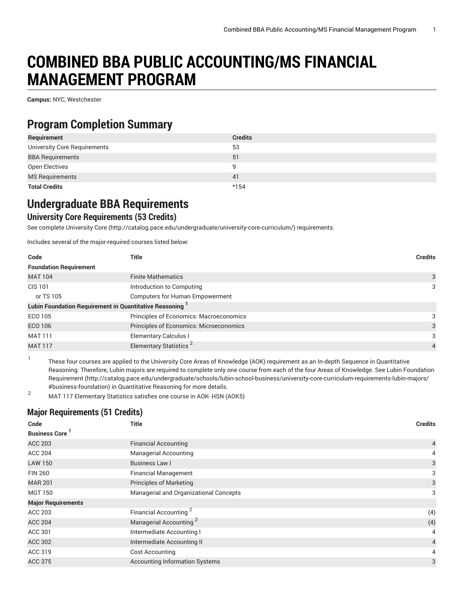# **COMBINED BBA PUBLIC ACCOUNTING/MS FINANCIAL MANAGEMENT PROGRAM**

**Campus:** NYC, Westchester

### **Program Completion Summary**

| Requirement                         | <b>Credits</b> |
|-------------------------------------|----------------|
| <b>University Core Requirements</b> | 53             |
| <b>BBA Requirements</b>             | 51             |
| Open Electives                      | q              |
| <b>MS Requirements</b>              | 41             |
| <b>Total Credits</b>                | $*154$         |

## **Undergraduate BBA Requirements**

#### **University Core Requirements (53 Credits)**

See complete [University](http://catalog.pace.edu/undergraduate/university-core-curriculum/) Core (<http://catalog.pace.edu/undergraduate/university-core-curriculum/>) requirements.

Includes several of the major-required courses listed below:

| Code                                                                | Title                                   | <b>Credits</b> |
|---------------------------------------------------------------------|-----------------------------------------|----------------|
| <b>Foundation Requirement</b>                                       |                                         |                |
| <b>MAT 104</b>                                                      | <b>Finite Mathematics</b>               | 3              |
| <b>CIS 101</b>                                                      | Introduction to Computing               | 3              |
| or TS 105                                                           | <b>Computers for Human Empowerment</b>  |                |
| Lubin Foundation Requirement in Quantitative Reasoning <sup>1</sup> |                                         |                |
| ECO 105                                                             | Principles of Economics: Macroeconomics | 3              |
| ECO 106                                                             | Principles of Economics: Microeconomics | 3              |
| <b>MAT 111</b>                                                      | <b>Elementary Calculus I</b>            | 3              |
| <b>MAT 117</b>                                                      | Elementary Statistics <sup>2</sup>      | $\overline{4}$ |

1 These four courses are applied to the University Core Areas of Knowledge (AOK) requirement as an In-depth Sequence in Quantitative Reasoning. Therefore, Lubin majors are required to complete only one course from each of the four Areas of Knowledge. See Lubin [Foundation](http://catalog.pace.edu/undergraduate/schools/lubin-school-business/university-core-curriculum-requirements-lubin-majors/#business-foundation) [Requirement](http://catalog.pace.edu/undergraduate/schools/lubin-school-business/university-core-curriculum-requirements-lubin-majors/#business-foundation) ([http://catalog.pace.edu/undergraduate/schools/lubin-school-business/university-core-curriculum-requirements-lubin-majors/](http://catalog.pace.edu/undergraduate/schools/lubin-school-business/university-core-curriculum-requirements-lubin-majors/#business-foundation) [#business-foundation\)](http://catalog.pace.edu/undergraduate/schools/lubin-school-business/university-core-curriculum-requirements-lubin-majors/#business-foundation) in Quantitative Reasoning for more details.

<sup>2</sup> MAT <sup>117</sup> Elementary Statistics satisfies one course in AOK- HSN (AOK5)

### **Major Requirements (51 Credits)**

| Code                              | <b>Title</b>                           | <b>Credits</b> |
|-----------------------------------|----------------------------------------|----------------|
| <b>Business Core</b> <sup>1</sup> |                                        |                |
| <b>ACC 203</b>                    | <b>Financial Accounting</b>            | $\overline{4}$ |
| <b>ACC 204</b>                    | <b>Managerial Accounting</b>           | 4              |
| <b>LAW 150</b>                    | Business Law I                         | 3              |
| <b>FIN 260</b>                    | <b>Financial Management</b>            | 3              |
| <b>MAR 201</b>                    | <b>Principles of Marketing</b>         | 3              |
| <b>MGT 150</b>                    | Managerial and Organizational Concepts | 3              |
| <b>Major Requirements</b>         |                                        |                |
| ACC 203                           | Financial Accounting <sup>2</sup>      | (4)            |
| <b>ACC 204</b>                    | Managerial Accounting <sup>2</sup>     | (4)            |
| ACC 301                           | Intermediate Accounting I              | 4              |
| <b>ACC 302</b>                    | Intermediate Accounting II             | $\overline{4}$ |
| ACC 319                           | <b>Cost Accounting</b>                 | 4              |
| <b>ACC 375</b>                    | <b>Accounting Information Systems</b>  | 3              |
|                                   |                                        |                |